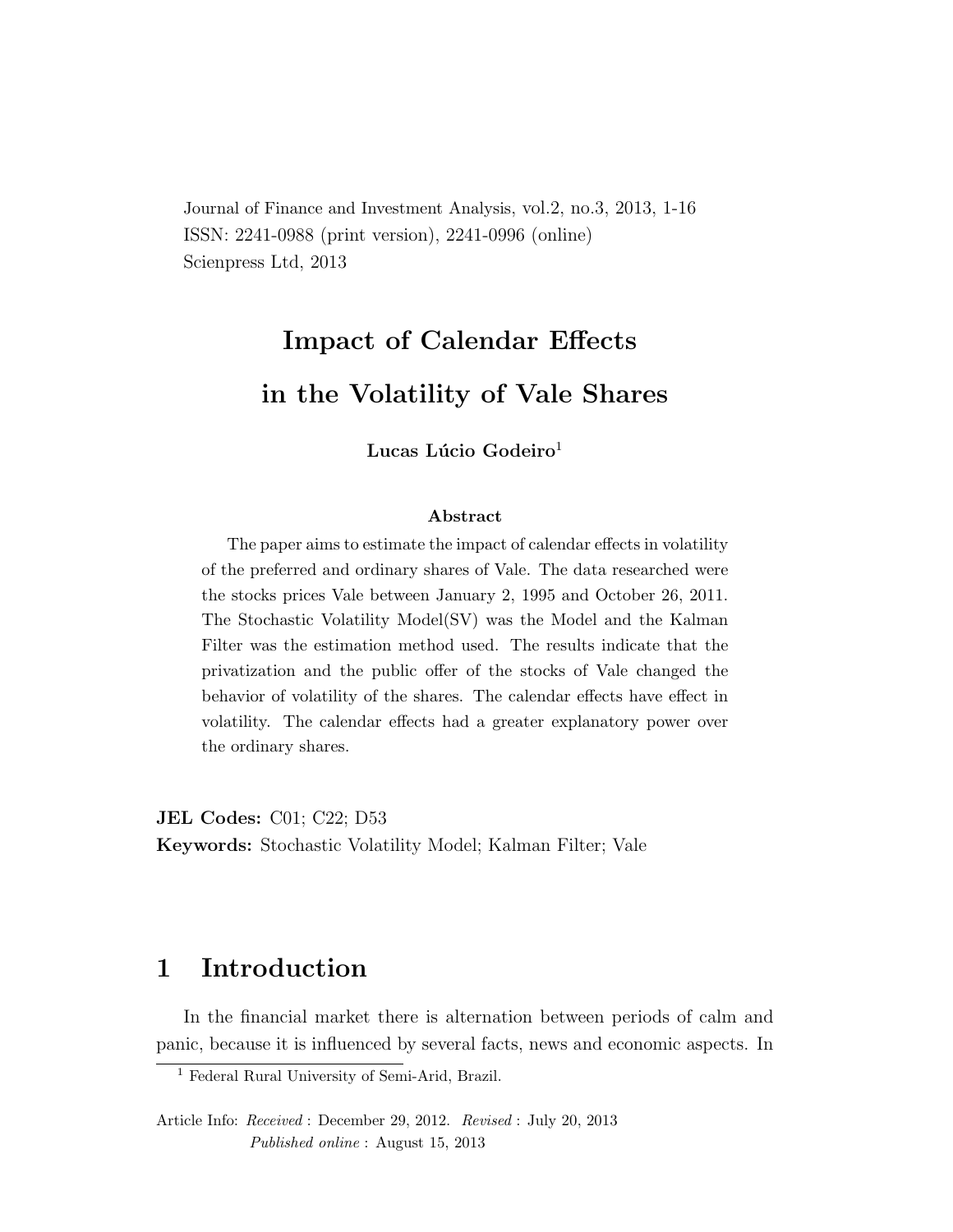Journal of Finance and Investment Analysis, vol.2, no.3, 2013, 1-16 ISSN: 2241-0988 (print version), 2241-0996 (online) Scienpress Ltd, 2013

# Impact of Calendar Effects in the Volatility of Vale Shares

Lucas Lúcio Godeiro<sup>1</sup>

#### Abstract

The paper aims to estimate the impact of calendar effects in volatility of the preferred and ordinary shares of Vale. The data researched were the stocks prices Vale between January 2, 1995 and October 26, 2011. The Stochastic Volatility Model(SV) was the Model and the Kalman Filter was the estimation method used. The results indicate that the privatization and the public offer of the stocks of Vale changed the behavior of volatility of the shares. The calendar effects have effect in volatility. The calendar effects had a greater explanatory power over the ordinary shares.

JEL Codes: C01; C22; D53 Keywords: Stochastic Volatility Model; Kalman Filter; Vale

## 1 Introduction

In the financial market there is alternation between periods of calm and panic, because it is influenced by several facts, news and economic aspects. In

<sup>1</sup> Federal Rural University of Semi-Arid, Brazil.

Article Info: Received : December 29, 2012. Revised : July 20, 2013 Published online : August 15, 2013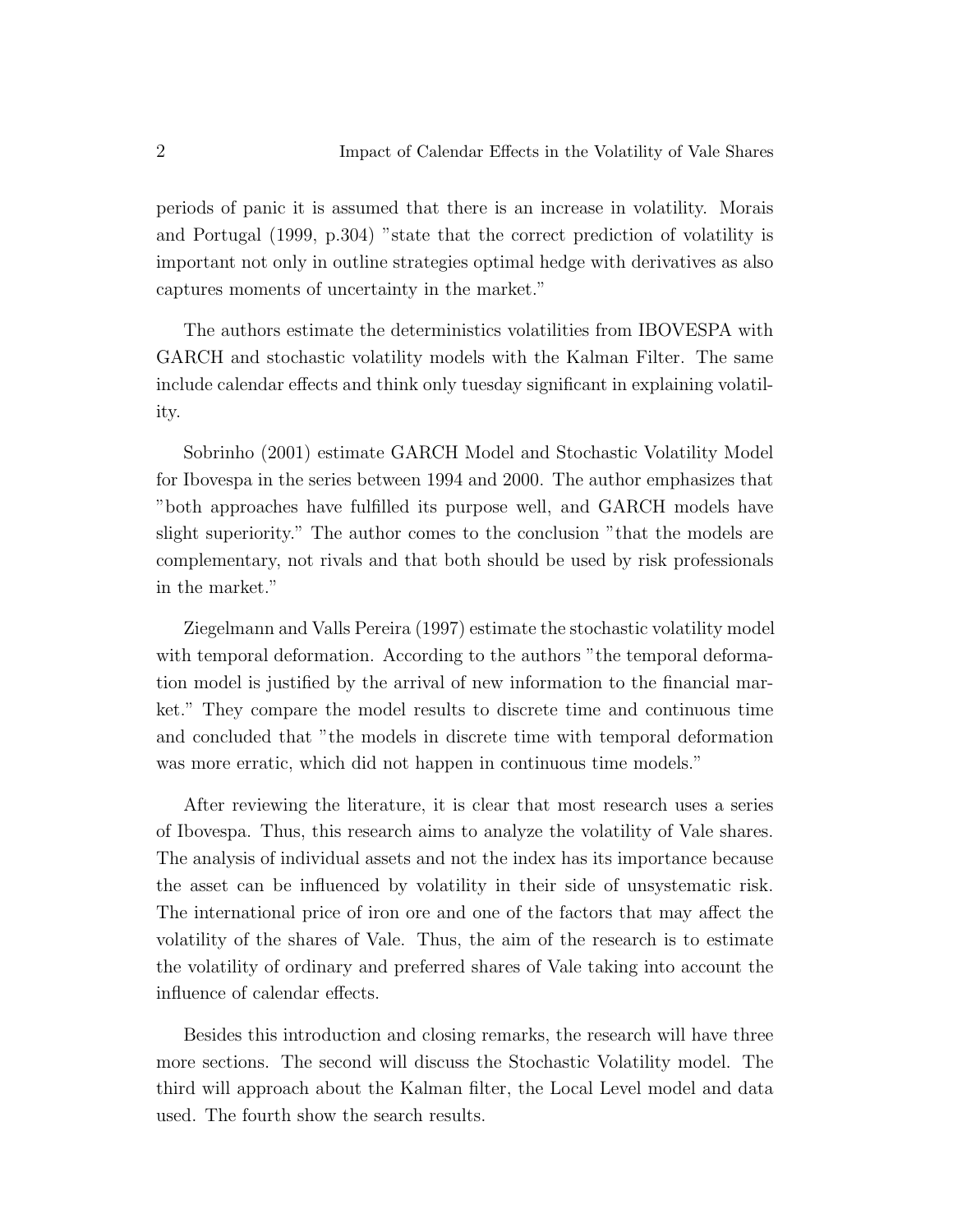periods of panic it is assumed that there is an increase in volatility. Morais and Portugal (1999, p.304) "state that the correct prediction of volatility is important not only in outline strategies optimal hedge with derivatives as also captures moments of uncertainty in the market."

The authors estimate the deterministics volatilities from IBOVESPA with GARCH and stochastic volatility models with the Kalman Filter. The same include calendar effects and think only tuesday significant in explaining volatility.

Sobrinho (2001) estimate GARCH Model and Stochastic Volatility Model for Ibovespa in the series between 1994 and 2000. The author emphasizes that "both approaches have fulfilled its purpose well, and GARCH models have slight superiority." The author comes to the conclusion "that the models are complementary, not rivals and that both should be used by risk professionals in the market."

Ziegelmann and Valls Pereira (1997) estimate the stochastic volatility model with temporal deformation. According to the authors "the temporal deformation model is justified by the arrival of new information to the financial market." They compare the model results to discrete time and continuous time and concluded that "the models in discrete time with temporal deformation was more erratic, which did not happen in continuous time models."

After reviewing the literature, it is clear that most research uses a series of Ibovespa. Thus, this research aims to analyze the volatility of Vale shares. The analysis of individual assets and not the index has its importance because the asset can be influenced by volatility in their side of unsystematic risk. The international price of iron ore and one of the factors that may affect the volatility of the shares of Vale. Thus, the aim of the research is to estimate the volatility of ordinary and preferred shares of Vale taking into account the influence of calendar effects.

Besides this introduction and closing remarks, the research will have three more sections. The second will discuss the Stochastic Volatility model. The third will approach about the Kalman filter, the Local Level model and data used. The fourth show the search results.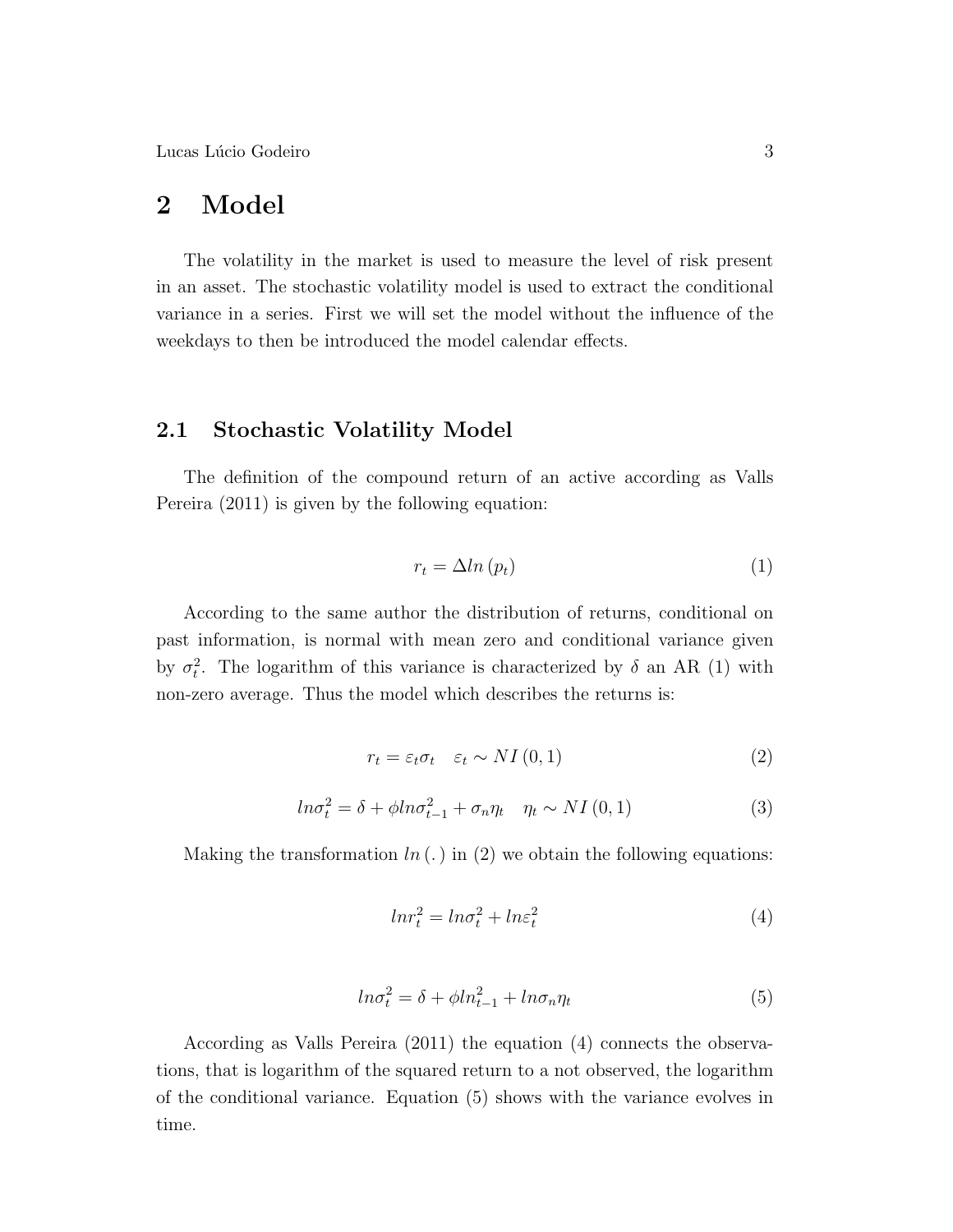Lucas Lúcio Godeiro  $3$ 

## 2 Model

The volatility in the market is used to measure the level of risk present in an asset. The stochastic volatility model is used to extract the conditional variance in a series. First we will set the model without the influence of the weekdays to then be introduced the model calendar effects.

#### 2.1 Stochastic Volatility Model

The definition of the compound return of an active according as Valls Pereira (2011) is given by the following equation:

$$
r_t = \Delta ln (p_t) \tag{1}
$$

According to the same author the distribution of returns, conditional on past information, is normal with mean zero and conditional variance given by  $\sigma_t^2$ . The logarithm of this variance is characterized by  $\delta$  an AR (1) with non-zero average. Thus the model which describes the returns is:

$$
r_t = \varepsilon_t \sigma_t \quad \varepsilon_t \sim NI(0, 1) \tag{2}
$$

$$
ln \sigma_t^2 = \delta + \phi ln \sigma_{t-1}^2 + \sigma_n \eta_t \quad \eta_t \sim NI(0, 1)
$$
 (3)

Making the transformation  $ln(.)$  in (2) we obtain the following equations:

$$
lnr_t^2 = ln\sigma_t^2 + ln\varepsilon_t^2 \tag{4}
$$

$$
ln \sigma_t^2 = \delta + \phi ln_{t-1}^2 + ln \sigma_n \eta_t \tag{5}
$$

According as Valls Pereira (2011) the equation (4) connects the observations, that is logarithm of the squared return to a not observed, the logarithm of the conditional variance. Equation (5) shows with the variance evolves in time.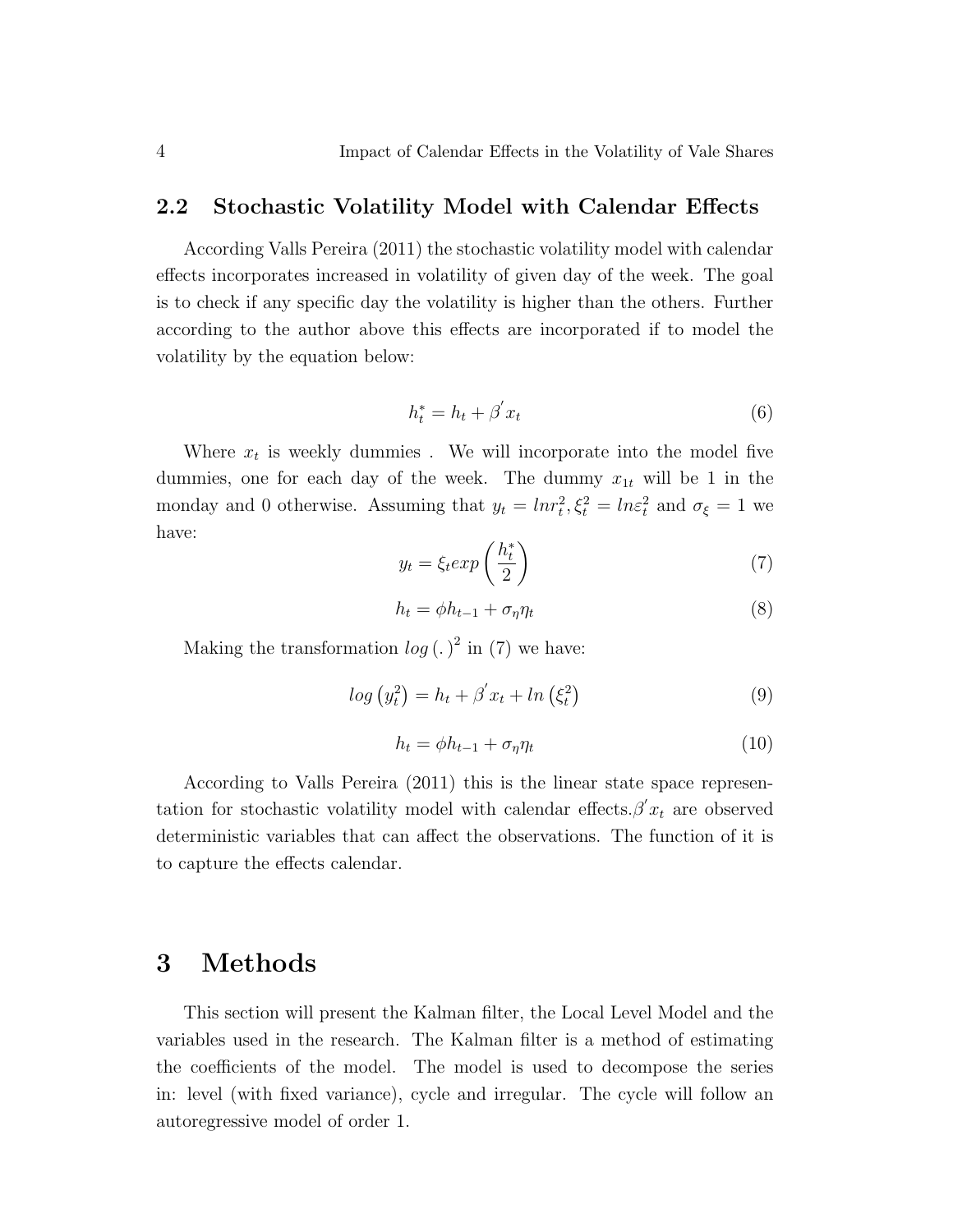#### 2.2 Stochastic Volatility Model with Calendar Effects

According Valls Pereira (2011) the stochastic volatility model with calendar effects incorporates increased in volatility of given day of the week. The goal is to check if any specific day the volatility is higher than the others. Further according to the author above this effects are incorporated if to model the volatility by the equation below:

$$
h_t^* = h_t + \beta' x_t \tag{6}
$$

Where  $x_t$  is weekly dummies. We will incorporate into the model five dummies, one for each day of the week. The dummy  $x_{1t}$  will be 1 in the monday and 0 otherwise. Assuming that  $y_t = ln r_t^2$ ,  $\xi_t^2 = ln \varepsilon_t^2$  and  $\sigma_{\xi} = 1$  we have:  $\mathbf{r}$ 

$$
y_t = \xi_t exp\left(\frac{h_t^*}{2}\right) \tag{7}
$$

$$
h_t = \phi h_{t-1} + \sigma_\eta \eta_t \tag{8}
$$

Making the transformation  $log (.)^2$  in (7) we have:

$$
log (y_t^2) = h_t + \beta' x_t + ln (\xi_t^2)
$$
\n(9)

$$
h_t = \phi h_{t-1} + \sigma_\eta \eta_t \tag{10}
$$

According to Valls Pereira (2011) this is the linear state space representation for stochastic volatility model with calendar effects. $\beta' x_t$  are observed deterministic variables that can affect the observations. The function of it is to capture the effects calendar.

## 3 Methods

This section will present the Kalman filter, the Local Level Model and the variables used in the research. The Kalman filter is a method of estimating the coefficients of the model. The model is used to decompose the series in: level (with fixed variance), cycle and irregular. The cycle will follow an autoregressive model of order 1.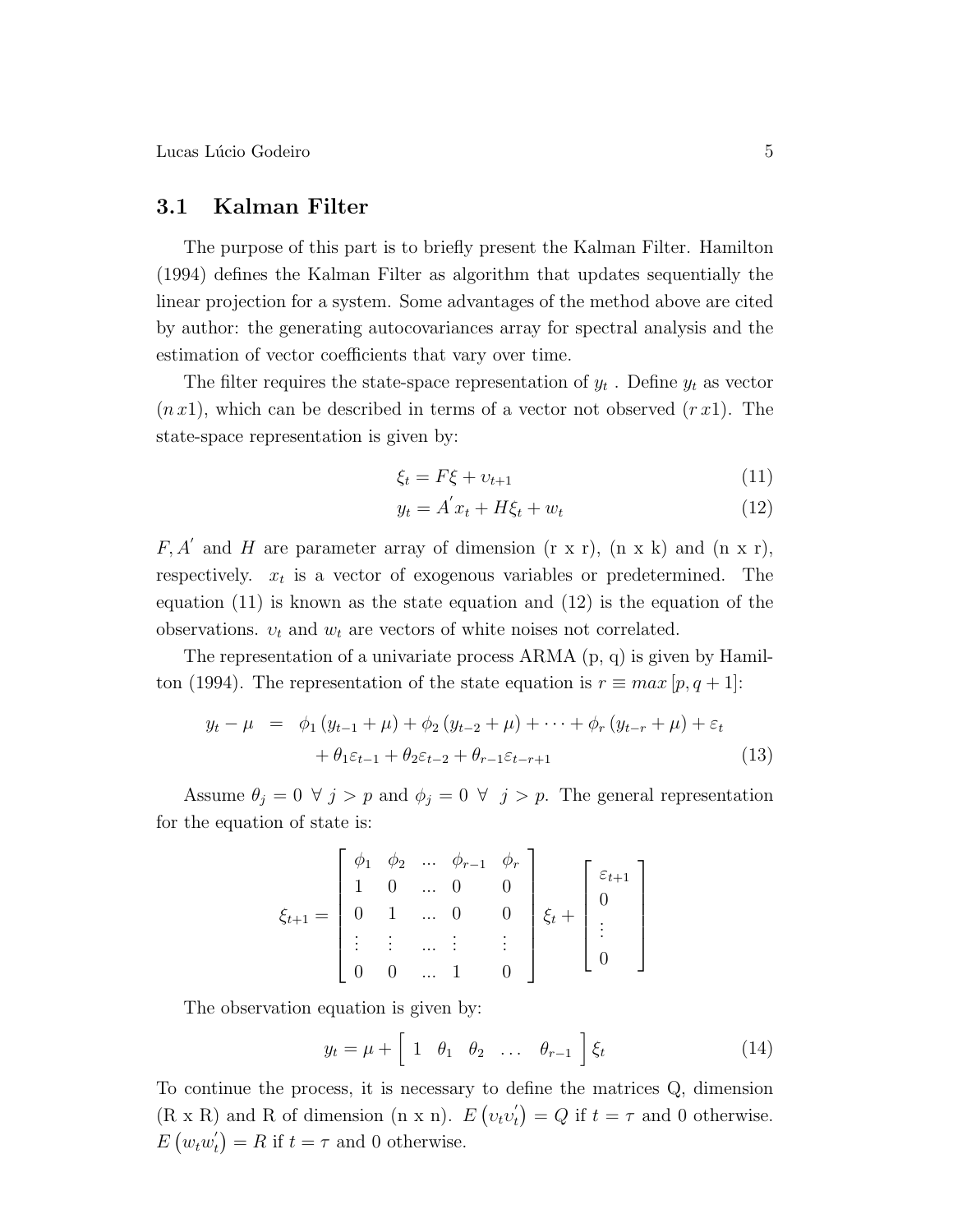Lucas Lúcio Godeiro  $5$ 

#### 3.1 Kalman Filter

The purpose of this part is to briefly present the Kalman Filter. Hamilton (1994) defines the Kalman Filter as algorithm that updates sequentially the linear projection for a system. Some advantages of the method above are cited by author: the generating autocovariances array for spectral analysis and the estimation of vector coefficients that vary over time.

The filter requires the state-space representation of  $y_t$ . Define  $y_t$  as vector  $(n x 1)$ , which can be described in terms of a vector not observed  $(r x 1)$ . The state-space representation is given by:

$$
\xi_t = F\xi + \upsilon_{t+1} \tag{11}
$$

$$
y_t = A'x_t + H\xi_t + w_t \tag{12}
$$

 $F, A'$  and H are parameter array of dimension  $(r x r)$ ,  $(n x k)$  and  $(n x r)$ , respectively.  $x_t$  is a vector of exogenous variables or predetermined. The equation (11) is known as the state equation and (12) is the equation of the observations.  $v_t$  and  $w_t$  are vectors of white noises not correlated.

The representation of a univariate process ARMA (p, q) is given by Hamilton (1994). The representation of the state equation is  $r \equiv max[p, q + 1]$ :

$$
y_t - \mu = \phi_1 (y_{t-1} + \mu) + \phi_2 (y_{t-2} + \mu) + \dots + \phi_r (y_{t-r} + \mu) + \varepsilon_t + \theta_1 \varepsilon_{t-1} + \theta_2 \varepsilon_{t-2} + \theta_{r-1} \varepsilon_{t-r+1}
$$
(13)

Assume  $\theta_j = 0 \ \forall \ j > p$  and  $\phi_j = 0 \ \forall \ j > p$ . The general representation for the equation of state is:

$$
\xi_{t+1} = \begin{bmatrix} \phi_1 & \phi_2 & \dots & \phi_{r-1} & \phi_r \\ 1 & 0 & \dots & 0 & 0 \\ 0 & 1 & \dots & 0 & 0 \\ \vdots & \vdots & \dots & \vdots & \vdots \\ 0 & 0 & \dots & 1 & 0 \end{bmatrix} \xi_t + \begin{bmatrix} \varepsilon_{t+1} \\ 0 \\ \vdots \\ 0 \end{bmatrix}
$$

The observation equation is given by:

$$
y_t = \mu + \left[1 \quad \theta_1 \quad \theta_2 \quad \dots \quad \theta_{r-1}\right] \xi_t \tag{14}
$$

To continue the process, it is necessary to define the matrices Q, dimension  $(R \times R)$  and R of dimension  $(n \times n)$ . E  $\frac{1}{2}$  $v_t v_t^{'}$ t ∠ı<br>∖  $\mathcal{L} \times \mathbb{R}$  and R of dimension (n x n).  $E(v_t v_t') = Q$  if  $t = \tau$  and 0 otherwise.  $E(w_t w_t^{'}$  $t<sub>t</sub>$ ) = R if  $t = \tau$  and 0 otherwise.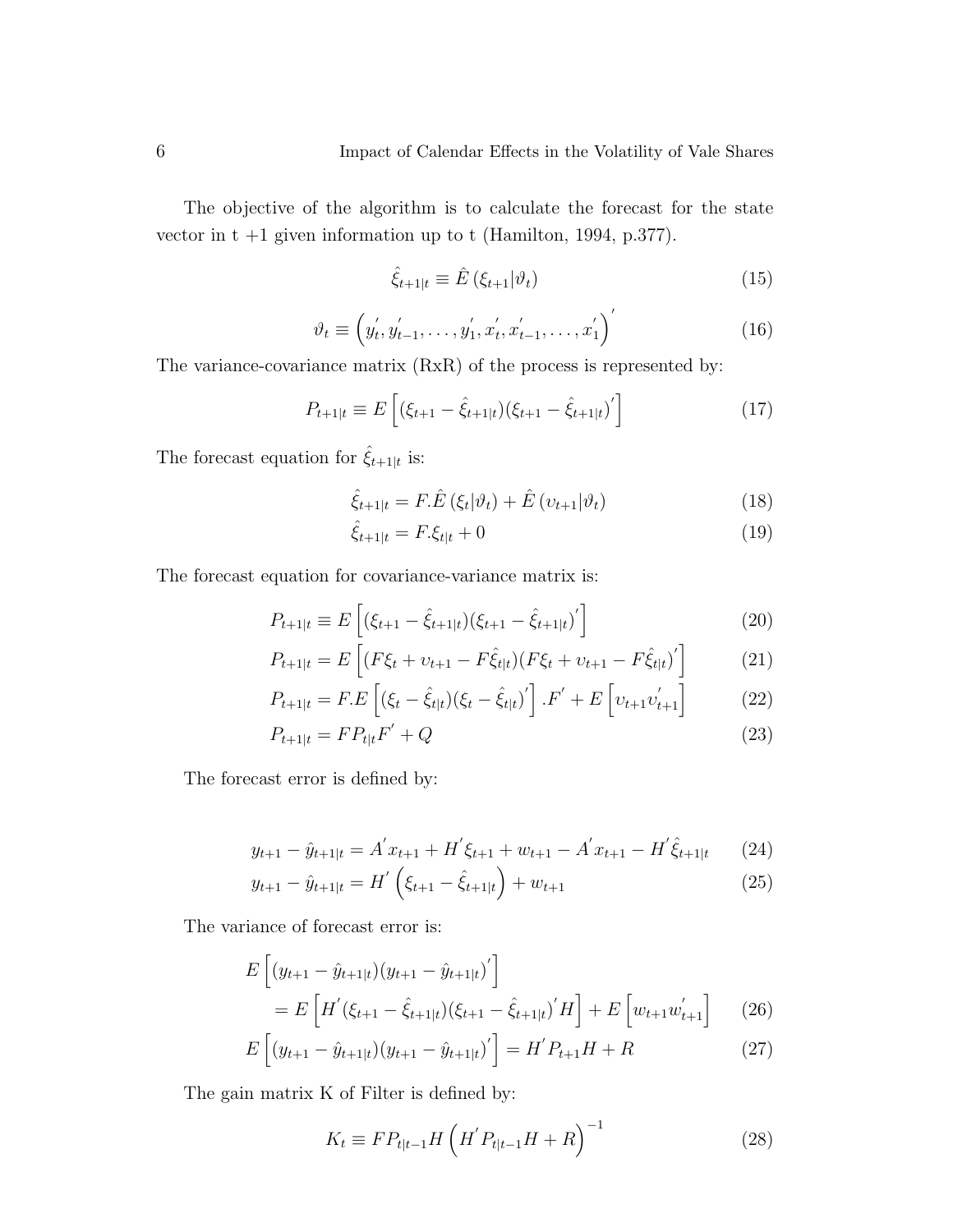The objective of the algorithm is to calculate the forecast for the state vector in  $t +1$  given information up to  $t$  (Hamilton, 1994, p.377).

$$
\hat{\xi}_{t+1|t} \equiv \hat{E}\left(\xi_{t+1}|\vartheta_t\right) \tag{15}
$$

$$
\vartheta_t \equiv \left( y_t^{'}, y_{t-1}^{'}, \dots, y_1^{'}, x_t^{'}, x_{t-1}^{'}, \dots, x_1^{'} \right)^{'} \tag{16}
$$

The variance-covariance matrix (RxR) of the process is represented by:

$$
P_{t+1|t} \equiv E\left[ (\xi_{t+1} - \hat{\xi}_{t+1|t}) (\xi_{t+1} - \hat{\xi}_{t+1|t})' \right]
$$
(17)

The forecast equation for  $\hat{\xi}_{t+1|t}$  is:

$$
\hat{\xi}_{t+1|t} = F.\hat{E}\left(\xi_t|\vartheta_t\right) + \hat{E}\left(v_{t+1}|\vartheta_t\right) \tag{18}
$$

$$
\hat{\xi}_{t+1|t} = F.\xi_{t|t} + 0\tag{19}
$$

The forecast equation for covariance-variance matrix is:

$$
P_{t+1|t} \equiv E\left[ (\xi_{t+1} - \hat{\xi}_{t+1|t}) (\xi_{t+1} - \hat{\xi}_{t+1|t})' \right]
$$
\n(20)

$$
P_{t+1|t} = E\left[ (F\xi_t + \nu_{t+1} - F\hat{\xi}_{t|t}) (F\xi_t + \nu_{t+1} - F\hat{\xi}_{t|t})' \right]
$$
(21)

$$
P_{t+1|t} = F.E\left[ (\xi_t - \hat{\xi}_{t|t}) (\xi_t - \hat{\xi}_{t|t})' \right].F' + E\left[ \upsilon_{t+1} \upsilon'_{t+1} \right] \tag{22}
$$

$$
P_{t+1|t} = FP_{t|t}F' + Q \tag{23}
$$

The forecast error is defined by:

$$
y_{t+1} - \hat{y}_{t+1|t} = A'x_{t+1} + H'\xi_{t+1} + w_{t+1} - A'x_{t+1} - H'\hat{\xi}_{t+1|t} \tag{24}
$$

$$
y_{t+1} - \hat{y}_{t+1|t} = H' \left( \xi_{t+1} - \hat{\xi}_{t+1|t} \right) + w_{t+1} \tag{25}
$$

The variance of forecast error is:

$$
E\left[ (y_{t+1} - \hat{y}_{t+1|t})(y_{t+1} - \hat{y}_{t+1|t})' \right]
$$
  
= 
$$
E\left[ H'(\xi_{t+1} - \hat{\xi}_{t+1|t})(\xi_{t+1} - \hat{\xi}_{t+1|t})'H \right] + E\left[ w_{t+1}w'_{t+1} \right]
$$
(26)

$$
E\left[ (y_{t+1} - \hat{y}_{t+1|t}) (y_{t+1} - \hat{y}_{t+1|t})' \right] = H' P_{t+1} H + R \tag{27}
$$

The gain matrix K of Filter is defined by:

$$
K_t \equiv FP_{t|t-1}H\left(H'P_{t|t-1}H + R\right)^{-1}
$$
\n(28)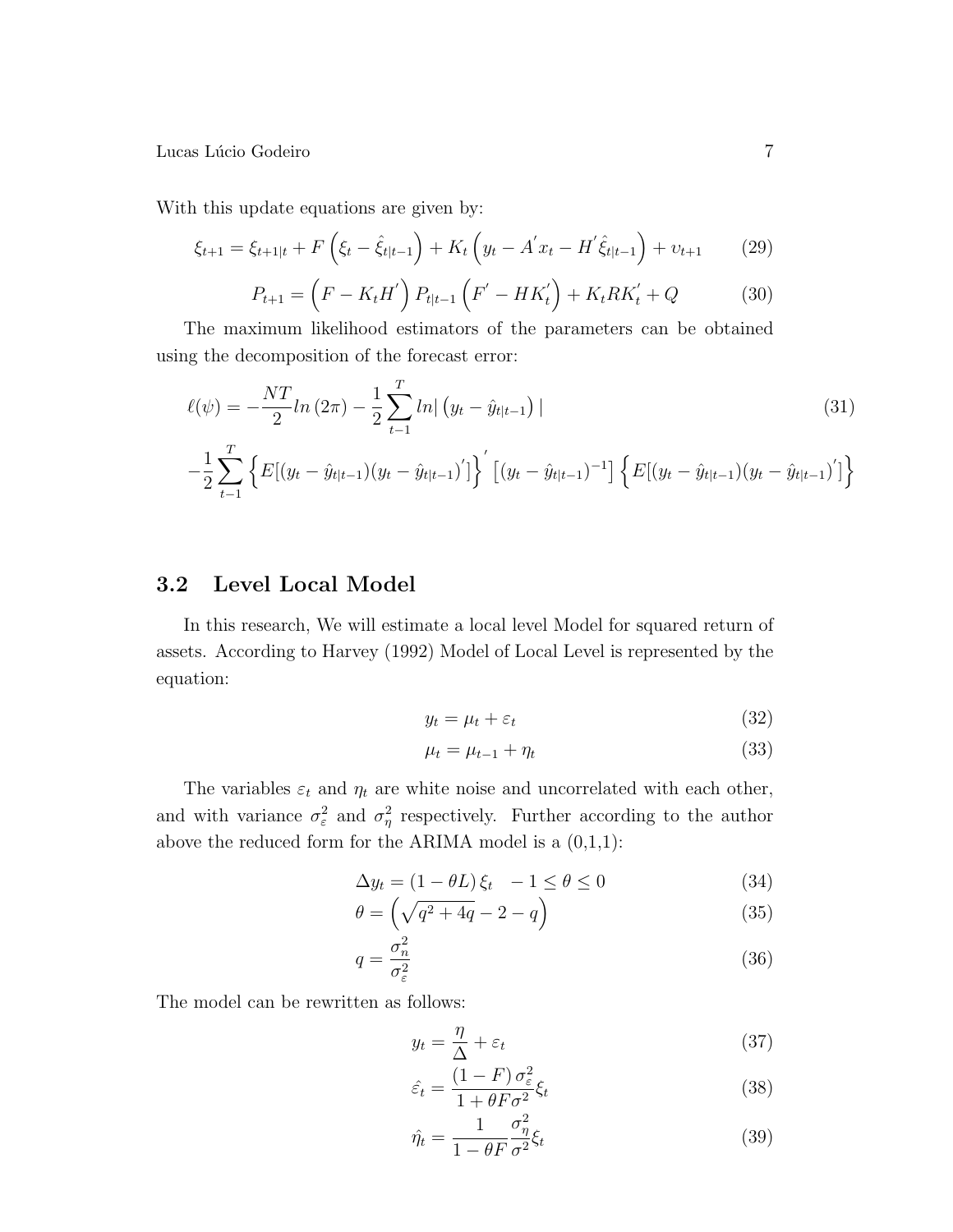Lucas L´ucio Godeiro 7

With this update equations are given by:

$$
\xi_{t+1} = \xi_{t+1|t} + F\left(\xi_t - \hat{\xi}_{t|t-1}\right) + K_t\left(y_t - A'x_t - H'\hat{\xi}_{t|t-1}\right) + \nu_{t+1} \tag{29}
$$

$$
P_{t+1} = \left(F - K_t H'\right) P_{t|t-1} \left(F' - HK'_t\right) + K_t R K'_t + Q \tag{30}
$$

The maximum likelihood estimators of the parameters can be obtained using the decomposition of the forecast error:

$$
\ell(\psi) = -\frac{NT}{2}ln(2\pi) - \frac{1}{2}\sum_{t=1}^{T}ln|(y_t - \hat{y}_{t|t-1})|
$$
\n(31)

$$
-\frac{1}{2}\sum_{t=1}^{T} \left\{ E[(y_t - \hat{y}_{t|t-1})(y_t - \hat{y}_{t|t-1})'] \right\}' \left[ (y_t - \hat{y}_{t|t-1})^{-1} \right] \left\{ E[(y_t - \hat{y}_{t|t-1})(y_t - \hat{y}_{t|t-1})'] \right\}
$$

### 3.2 Level Local Model

In this research, We will estimate a local level Model for squared return of assets. According to Harvey (1992) Model of Local Level is represented by the equation:

$$
y_t = \mu_t + \varepsilon_t \tag{32}
$$

$$
\mu_t = \mu_{t-1} + \eta_t \tag{33}
$$

The variables  $\varepsilon_t$  and  $\eta_t$  are white noise and uncorrelated with each other, and with variance  $\sigma_{\varepsilon}^2$  and  $\sigma_{\eta}^2$  respectively. Further according to the author above the reduced form for the ARIMA model is a  $(0,1,1)$ :

$$
\Delta y_t = (1 - \theta L) \xi_t \quad -1 \le \theta \le 0 \tag{34}
$$

$$
\theta = \left(\sqrt{q^2 + 4q} - 2 - q\right) \tag{35}
$$

$$
q = \frac{\sigma_n^2}{\sigma_\varepsilon^2} \tag{36}
$$

The model can be rewritten as follows:

$$
y_t = \frac{\eta}{\Delta} + \varepsilon_t \tag{37}
$$

$$
\hat{\varepsilon}_t = \frac{(1 - F)\,\sigma_\varepsilon^2}{1 + \theta F \sigma^2} \xi_t \tag{38}
$$

$$
\hat{\eta}_t = \frac{1}{1 - \theta F} \frac{\sigma_\eta^2}{\sigma^2} \xi_t \tag{39}
$$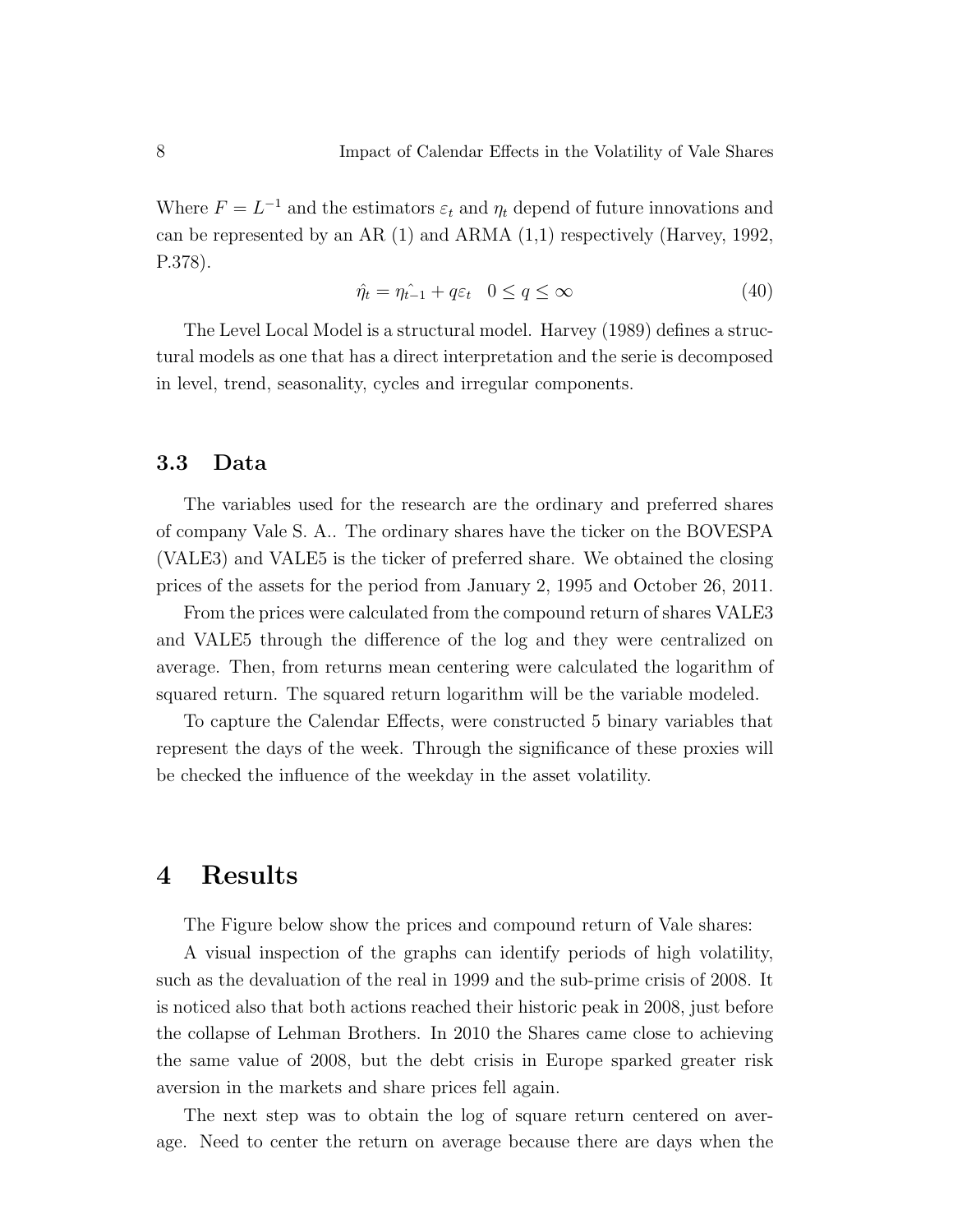Where  $F = L^{-1}$  and the estimators  $\varepsilon_t$  and  $\eta_t$  depend of future innovations and can be represented by an AR (1) and ARMA (1,1) respectively (Harvey, 1992, P.378).

$$
\hat{\eta_t} = \eta_{t-1} + q\varepsilon_t \quad 0 \le q \le \infty \tag{40}
$$

The Level Local Model is a structural model. Harvey (1989) defines a structural models as one that has a direct interpretation and the serie is decomposed in level, trend, seasonality, cycles and irregular components.

#### 3.3 Data

The variables used for the research are the ordinary and preferred shares of company Vale S. A.. The ordinary shares have the ticker on the BOVESPA (VALE3) and VALE5 is the ticker of preferred share. We obtained the closing prices of the assets for the period from January 2, 1995 and October 26, 2011.

From the prices were calculated from the compound return of shares VALE3 and VALE5 through the difference of the log and they were centralized on average. Then, from returns mean centering were calculated the logarithm of squared return. The squared return logarithm will be the variable modeled.

To capture the Calendar Effects, were constructed 5 binary variables that represent the days of the week. Through the significance of these proxies will be checked the influence of the weekday in the asset volatility.

## 4 Results

The Figure below show the prices and compound return of Vale shares:

A visual inspection of the graphs can identify periods of high volatility, such as the devaluation of the real in 1999 and the sub-prime crisis of 2008. It is noticed also that both actions reached their historic peak in 2008, just before the collapse of Lehman Brothers. In 2010 the Shares came close to achieving the same value of 2008, but the debt crisis in Europe sparked greater risk aversion in the markets and share prices fell again.

The next step was to obtain the log of square return centered on average. Need to center the return on average because there are days when the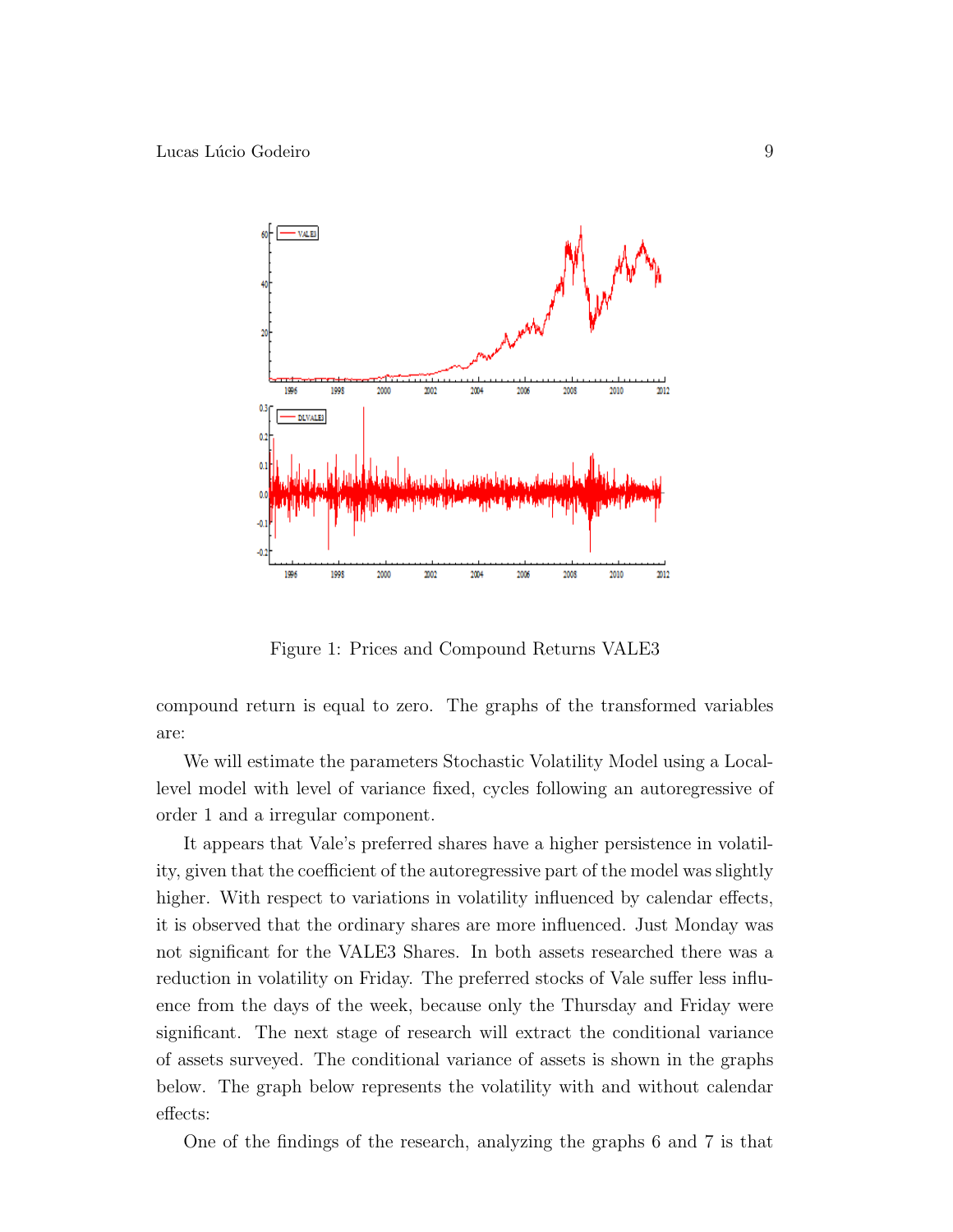

Figure 1: Prices and Compound Returns VALE3

compound return is equal to zero. The graphs of the transformed variables are:

We will estimate the parameters Stochastic Volatility Model using a Locallevel model with level of variance fixed, cycles following an autoregressive of order 1 and a irregular component.

It appears that Vale's preferred shares have a higher persistence in volatility, given that the coefficient of the autoregressive part of the model was slightly higher. With respect to variations in volatility influenced by calendar effects, it is observed that the ordinary shares are more influenced. Just Monday was not significant for the VALE3 Shares. In both assets researched there was a reduction in volatility on Friday. The preferred stocks of Vale suffer less influence from the days of the week, because only the Thursday and Friday were significant. The next stage of research will extract the conditional variance of assets surveyed. The conditional variance of assets is shown in the graphs below. The graph below represents the volatility with and without calendar effects:

One of the findings of the research, analyzing the graphs 6 and 7 is that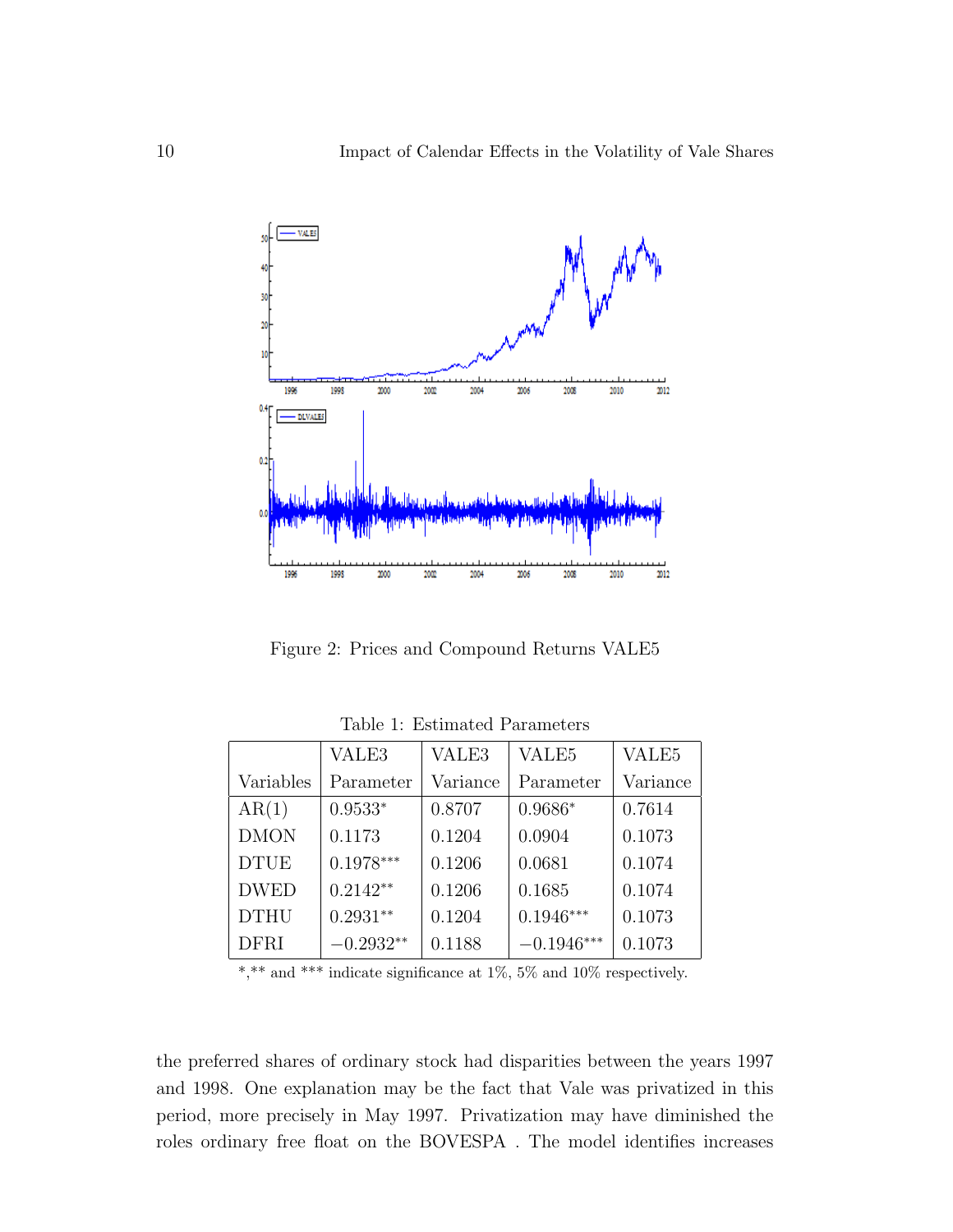

Figure 2: Prices and Compound Returns VALE5

|             | VALE3       | VALE3    | VALE <sub>5</sub> | VALE <sub>5</sub> |
|-------------|-------------|----------|-------------------|-------------------|
| Variables   | Parameter   | Variance | Parameter         | Variance          |
| AR(1)       | $0.9533*$   | 0.8707   | $0.9686*$         | 0.7614            |
| <b>DMON</b> | 0.1173      | 0.1204   | 0.0904            | 0.1073            |
| <b>DTUE</b> | $0.1978***$ | 0.1206   | 0.0681            | 0.1074            |
| <b>DWED</b> | $0.2142**$  | 0.1206   | 0.1685            | 0.1074            |
| <b>DTHU</b> | $0.2931**$  | 0.1204   | $0.1946***$       | 0.1073            |
| <b>DFRI</b> | $-0.2932**$ | 0.1188   | $-0.1946***$      | 0.1073            |

Table 1: Estimated Parameters

 $*,**$  and \*\*\* indicate significance at 1%, 5% and 10% respectively.

the preferred shares of ordinary stock had disparities between the years 1997 and 1998. One explanation may be the fact that Vale was privatized in this period, more precisely in May 1997. Privatization may have diminished the roles ordinary free float on the BOVESPA . The model identifies increases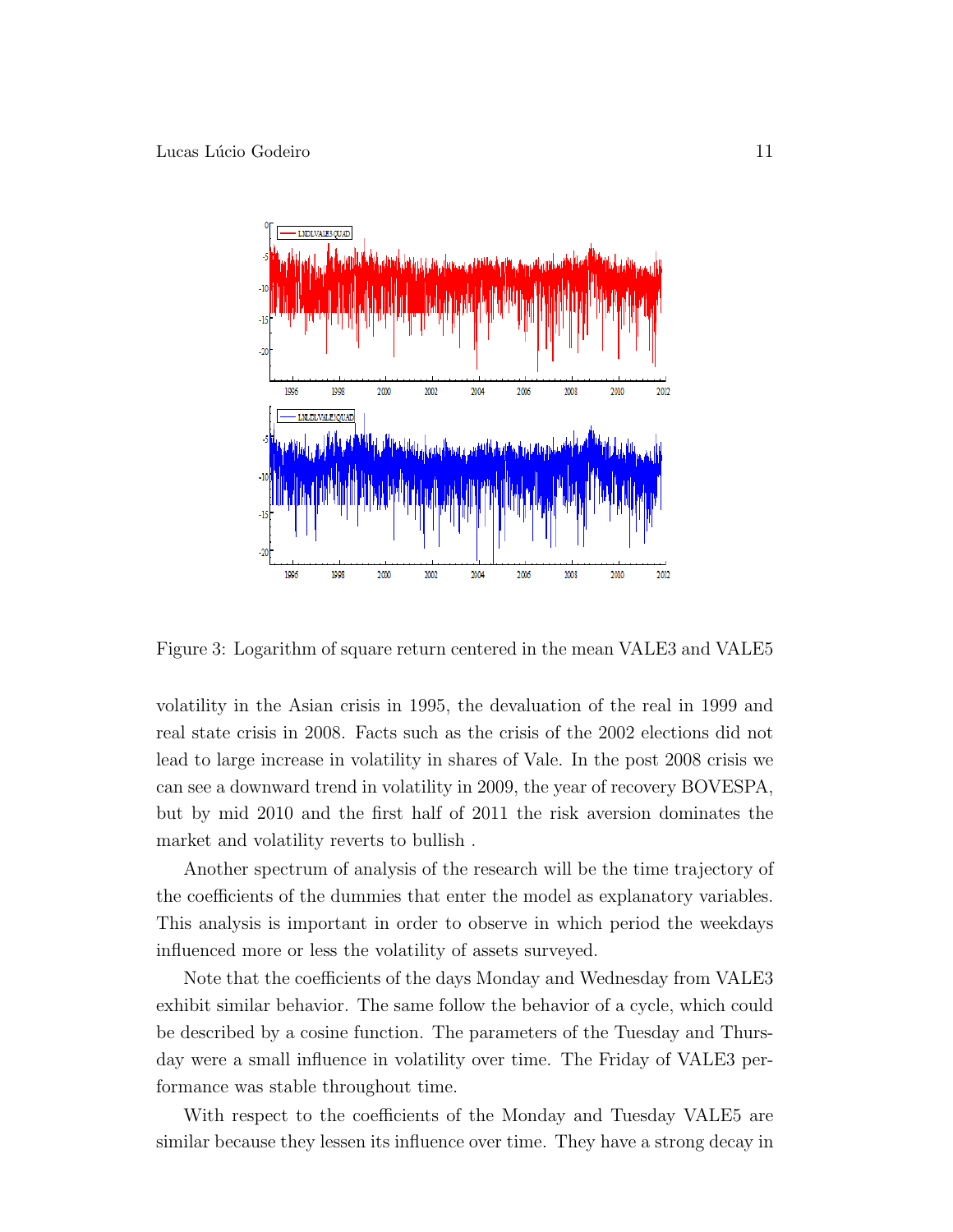

Figure 3: Logarithm of square return centered in the mean VALE3 and VALE5

volatility in the Asian crisis in 1995, the devaluation of the real in 1999 and real state crisis in 2008. Facts such as the crisis of the 2002 elections did not lead to large increase in volatility in shares of Vale. In the post 2008 crisis we can see a downward trend in volatility in 2009, the year of recovery BOVESPA, but by mid 2010 and the first half of 2011 the risk aversion dominates the market and volatility reverts to bullish .

Another spectrum of analysis of the research will be the time trajectory of the coefficients of the dummies that enter the model as explanatory variables. This analysis is important in order to observe in which period the weekdays influenced more or less the volatility of assets surveyed.

Note that the coefficients of the days Monday and Wednesday from VALE3 exhibit similar behavior. The same follow the behavior of a cycle, which could be described by a cosine function. The parameters of the Tuesday and Thursday were a small influence in volatility over time. The Friday of VALE3 performance was stable throughout time.

With respect to the coefficients of the Monday and Tuesday VALE5 are similar because they lessen its influence over time. They have a strong decay in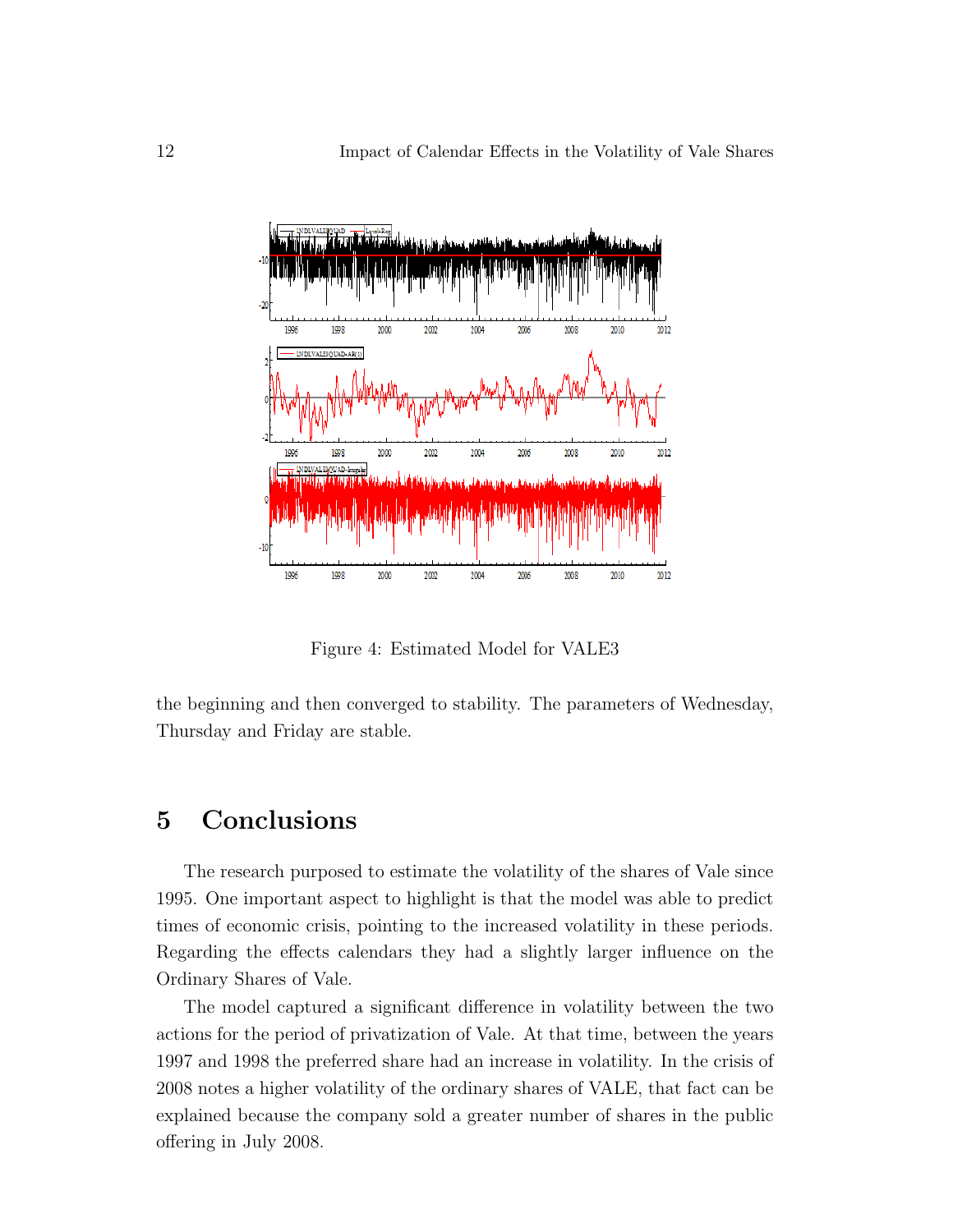

Figure 4: Estimated Model for VALE3

the beginning and then converged to stability. The parameters of Wednesday, Thursday and Friday are stable.

## 5 Conclusions

The research purposed to estimate the volatility of the shares of Vale since 1995. One important aspect to highlight is that the model was able to predict times of economic crisis, pointing to the increased volatility in these periods. Regarding the effects calendars they had a slightly larger influence on the Ordinary Shares of Vale.

The model captured a significant difference in volatility between the two actions for the period of privatization of Vale. At that time, between the years 1997 and 1998 the preferred share had an increase in volatility. In the crisis of 2008 notes a higher volatility of the ordinary shares of VALE, that fact can be explained because the company sold a greater number of shares in the public offering in July 2008.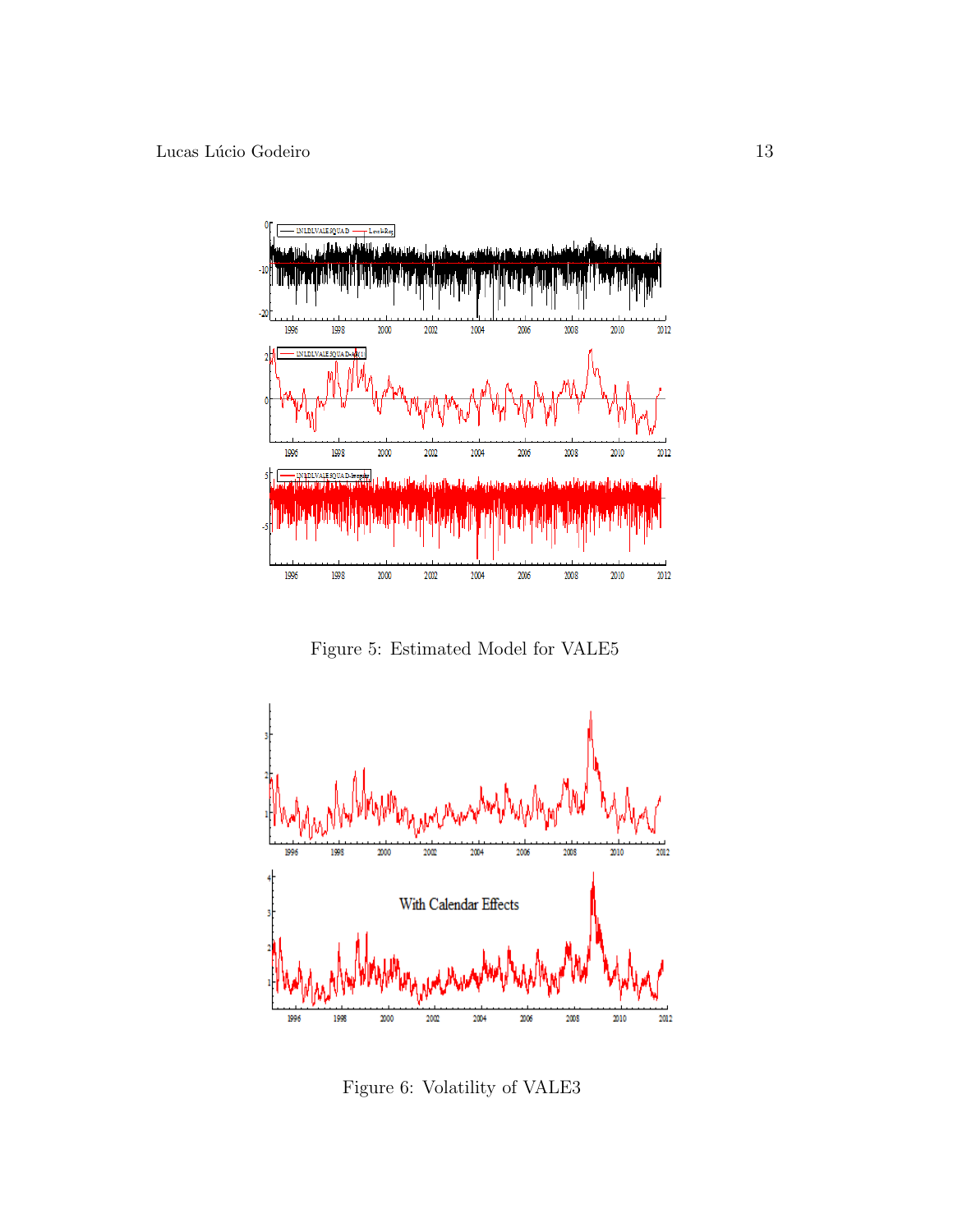

Figure 5: Estimated Model for VALE5



Figure 6: Volatility of VALE3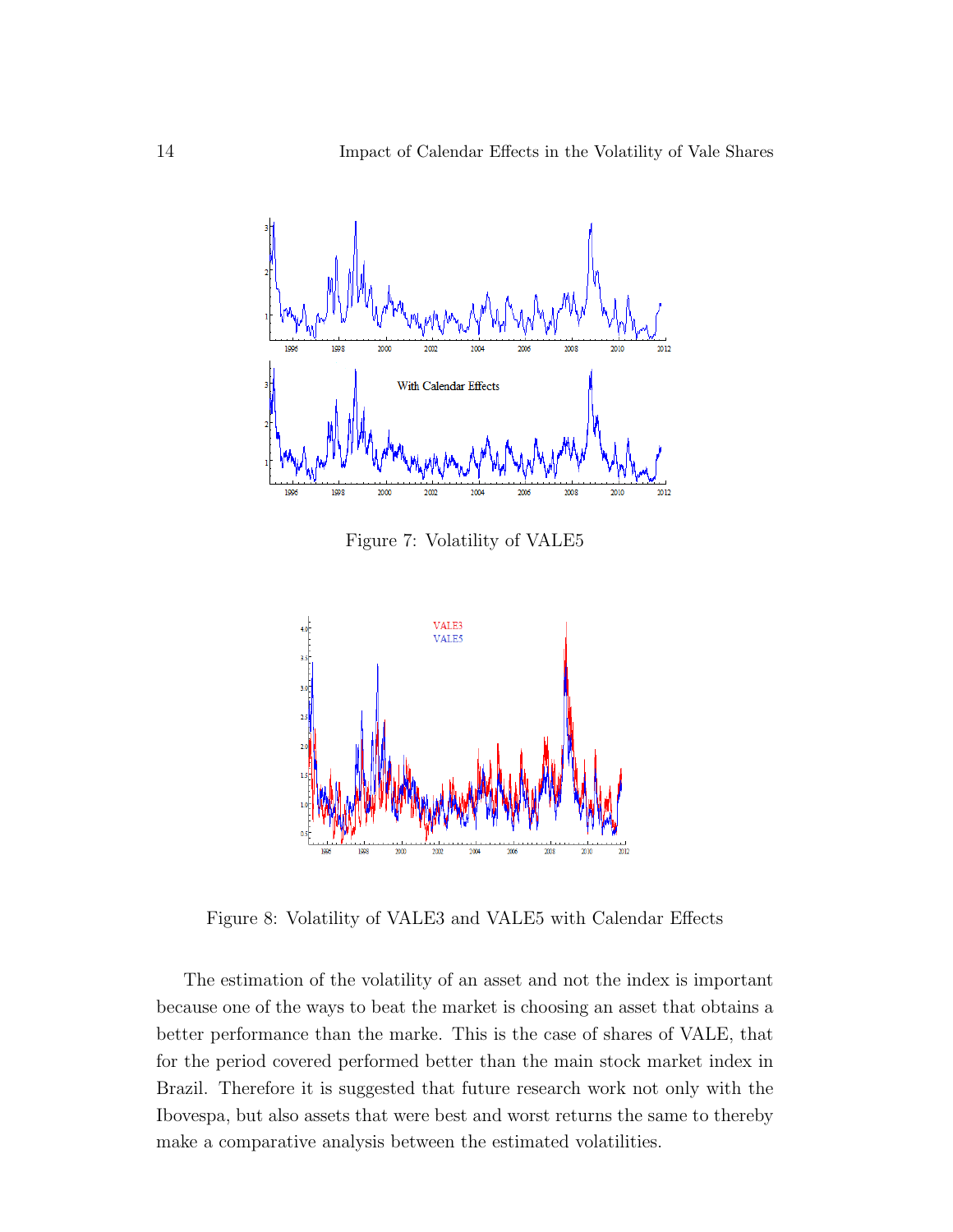

Figure 7: Volatility of VALE5



Figure 8: Volatility of VALE3 and VALE5 with Calendar Effects

The estimation of the volatility of an asset and not the index is important because one of the ways to beat the market is choosing an asset that obtains a better performance than the marke. This is the case of shares of VALE, that for the period covered performed better than the main stock market index in Brazil. Therefore it is suggested that future research work not only with the Ibovespa, but also assets that were best and worst returns the same to thereby make a comparative analysis between the estimated volatilities.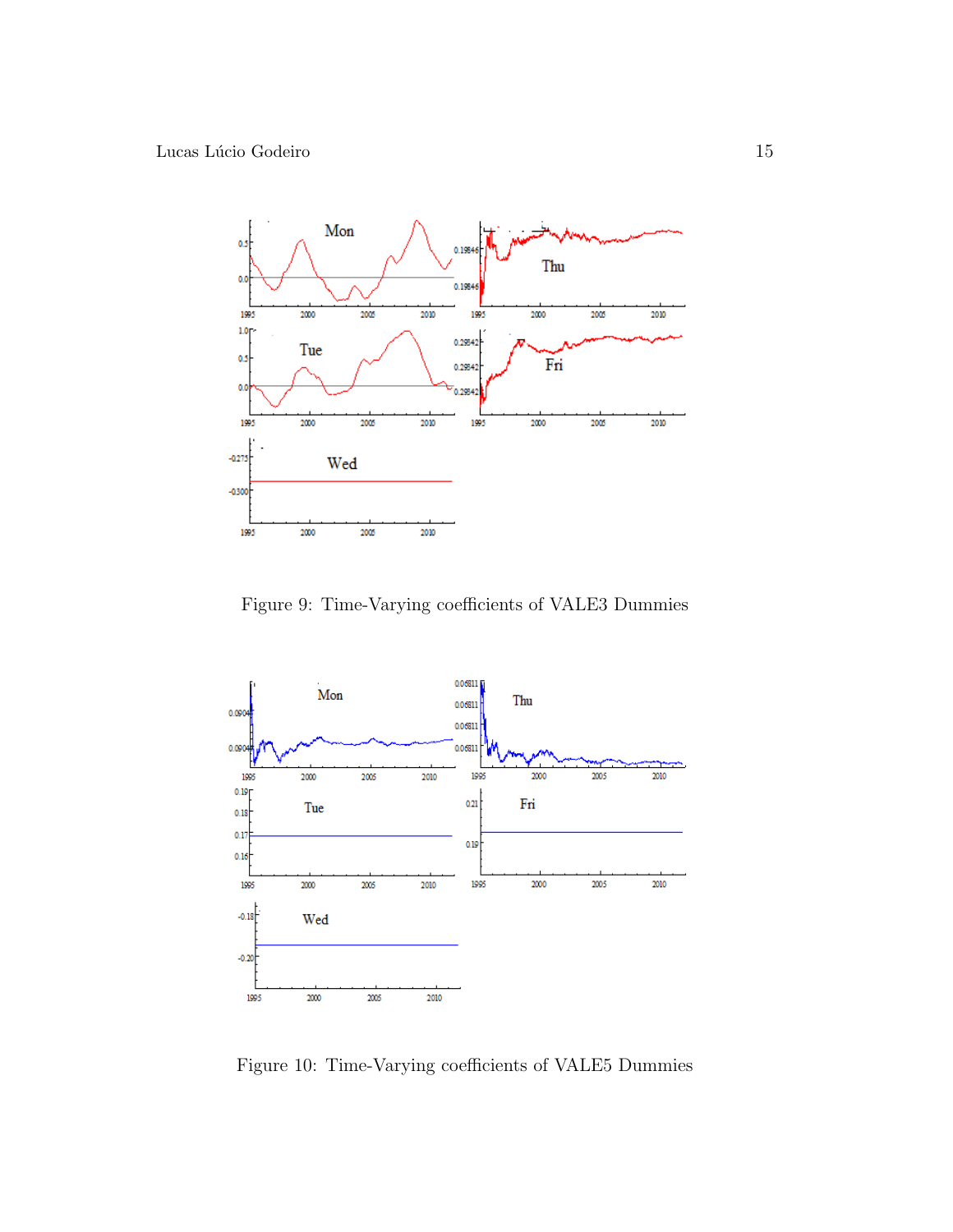

Figure 9: Time-Varying coefficients of VALE3 Dummies



Figure 10: Time-Varying coefficients of VALE5 Dummies